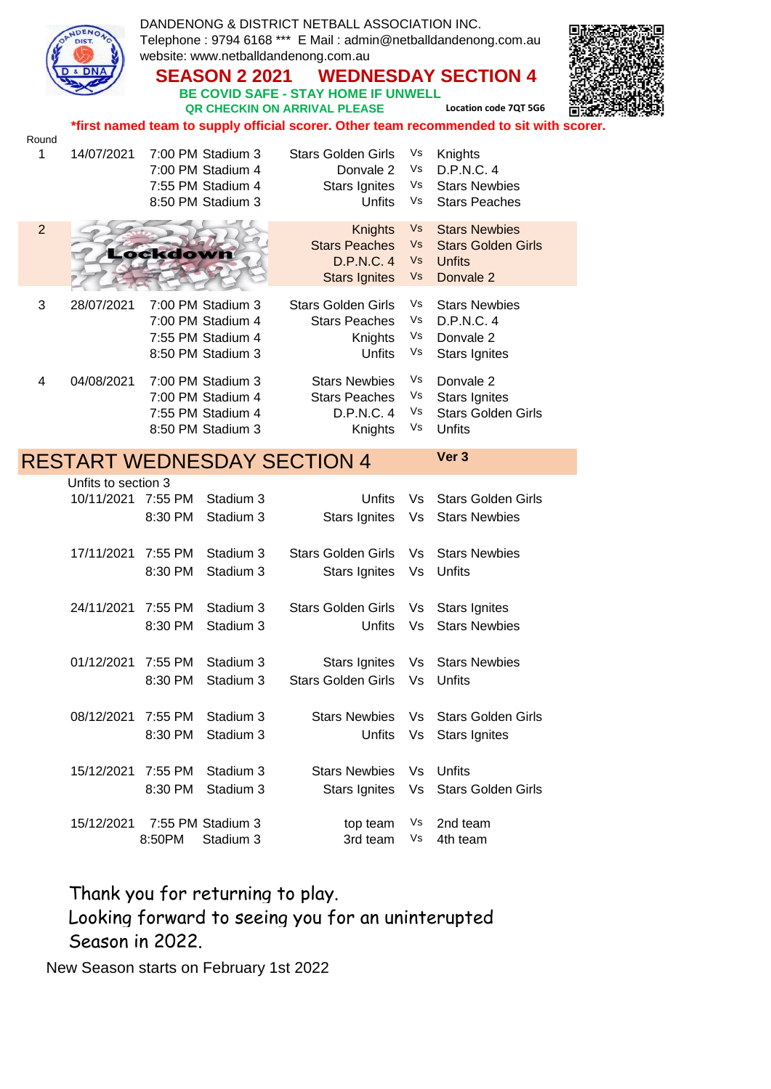|                |                                                                                         |                    | <b>SEASON 2 2021</b>                                                             | DANDENONG & DISTRICT NETBALL ASSOCIATION INC.<br>Telephone: 9794 6168 *** E Mail: admin@netballdandenong.com.au<br>website: www.netballdandenong.com.au<br><b>BE COVID SAFE - STAY HOME IF UNWELL</b><br>QR CHECKIN ON ARRIVAL PLEASE |                             | <b>WEDNESDAY SECTION 4</b><br>Location code 7QT 5G6                             |  |
|----------------|-----------------------------------------------------------------------------------------|--------------------|----------------------------------------------------------------------------------|---------------------------------------------------------------------------------------------------------------------------------------------------------------------------------------------------------------------------------------|-----------------------------|---------------------------------------------------------------------------------|--|
|                | *first named team to supply official scorer. Other team recommended to sit with scorer. |                    |                                                                                  |                                                                                                                                                                                                                                       |                             |                                                                                 |  |
| Round<br>1     | 14/07/2021                                                                              |                    | 7:00 PM Stadium 3<br>7:00 PM Stadium 4<br>7:55 PM Stadium 4<br>8:50 PM Stadium 3 | <b>Stars Golden Girls</b><br>Donvale 2<br><b>Stars Ignites</b><br><b>Unfits</b>                                                                                                                                                       | Vs<br>Vs<br>Vs<br>Vs        | Knights<br>D.P.N.C. 4<br><b>Stars Newbies</b><br><b>Stars Peaches</b>           |  |
| $\overline{2}$ |                                                                                         | Lockdown           |                                                                                  | Knights<br><b>Stars Peaches</b><br><b>D.P.N.C. 4</b><br><b>Stars Ignites</b>                                                                                                                                                          | Vs<br><b>Vs</b><br>Vs<br>Vs | <b>Stars Newbies</b><br><b>Stars Golden Girls</b><br><b>Unfits</b><br>Donvale 2 |  |
| 3              | 28/07/2021                                                                              |                    | 7:00 PM Stadium 3<br>7:00 PM Stadium 4<br>7:55 PM Stadium 4<br>8:50 PM Stadium 3 | <b>Stars Golden Girls</b><br><b>Stars Peaches</b><br>Knights<br>Unfits                                                                                                                                                                | Vs<br>Vs<br>Vs<br>Vs        | <b>Stars Newbies</b><br>D.P.N.C. 4<br>Donvale 2<br><b>Stars Ignites</b>         |  |
| 4              | 04/08/2021                                                                              |                    | 7:00 PM Stadium 3<br>7:00 PM Stadium 4<br>7:55 PM Stadium 4<br>8:50 PM Stadium 3 | <b>Stars Newbies</b><br><b>Stars Peaches</b><br>D.P.N.C. 4<br>Knights                                                                                                                                                                 | Vs<br>Vs<br>Vs<br>Vs        | Donvale 2<br><b>Stars Ignites</b><br><b>Stars Golden Girls</b><br>Unfits        |  |
|                |                                                                                         |                    |                                                                                  |                                                                                                                                                                                                                                       |                             |                                                                                 |  |
|                |                                                                                         |                    |                                                                                  | <b>RESTART WEDNESDAY SECTION 4</b>                                                                                                                                                                                                    |                             | Ver 3                                                                           |  |
|                | Unfits to section 3<br>10/11/2021 7:55 PM                                               | 8:30 PM            | Stadium 3<br>Stadium 3                                                           | Unfits<br>Stars Ignites                                                                                                                                                                                                               | Vs<br>Vs                    | <b>Stars Golden Girls</b><br><b>Stars Newbies</b>                               |  |
|                | 17/11/2021                                                                              | 7:55 PM<br>8:30 PM | Stadium 3<br>Stadium 3                                                           | <b>Stars Golden Girls</b><br>Stars Ignites                                                                                                                                                                                            | Vs.<br>Vs                   | <b>Stars Newbies</b><br>Unfits                                                  |  |
|                | 24/11/2021                                                                              | 7:55 PM<br>8:30 PM | Stadium 3<br>Stadium 3                                                           | <b>Stars Golden Girls</b><br>Unfits                                                                                                                                                                                                   | Vs<br>Vs                    | <b>Stars Ignites</b><br><b>Stars Newbies</b>                                    |  |
|                | 01/12/2021                                                                              | 7:55 PM<br>8:30 PM | Stadium 3<br>Stadium 3                                                           | <b>Stars Ignites</b><br><b>Stars Golden Girls</b>                                                                                                                                                                                     | Vs<br>Vs                    | <b>Stars Newbies</b><br>Unfits                                                  |  |
|                | 08/12/2021                                                                              | 7:55 PM<br>8:30 PM | Stadium 3<br>Stadium 3                                                           | <b>Stars Newbies</b><br>Unfits                                                                                                                                                                                                        | Vs<br>Vs                    | <b>Stars Golden Girls</b><br><b>Stars Ignites</b>                               |  |
|                | 15/12/2021                                                                              | 7:55 PM<br>8:30 PM | Stadium 3<br>Stadium 3                                                           | <b>Stars Newbies</b><br><b>Stars Ignites</b>                                                                                                                                                                                          | Vs<br>Vs                    | Unfits<br><b>Stars Golden Girls</b><br>2nd team                                 |  |

Thank you for returning to play. Looking forward to seeing you for an uninterupted Season in 2022.

New Season starts on February 1st 2022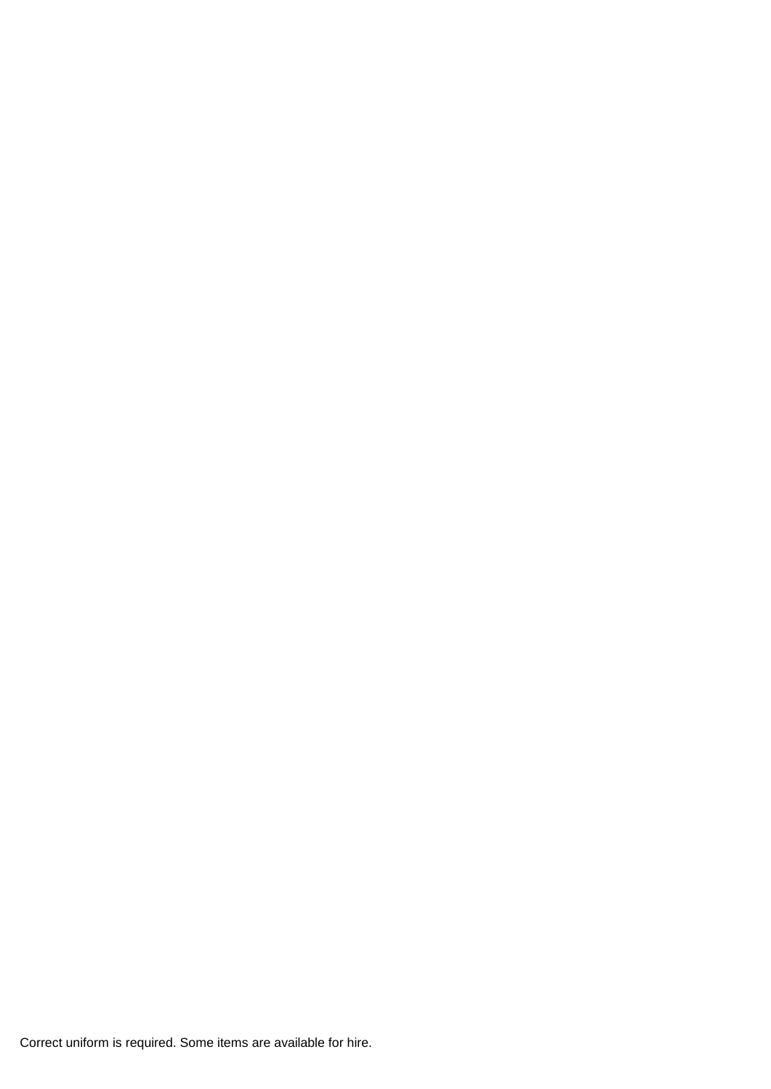Correct uniform is required. Some items are available for hire.